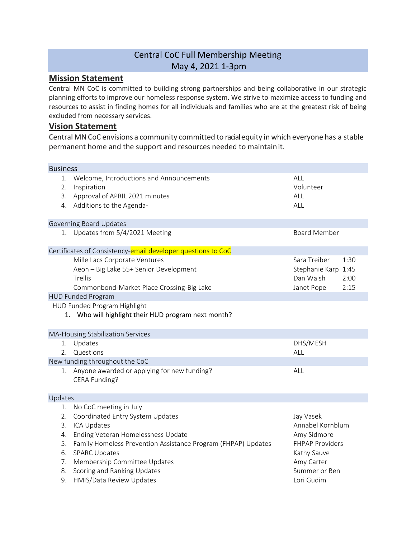## Central CoC Full Membership Meeting May 4, 2021 1-3pm

## **Mission Statement**

Central MN CoC is committed to building strong partnerships and being collaborative in our strategic planning efforts to improve our homeless response system. We strive to maximize access to funding and resources to assist in finding homes for all individuals and families who are at the greatest risk of being excluded from necessary services.

## **Vision Statement**

Central MNCoC envisions a community committed to racialequity in which everyone has a stable permanent home and the support and resources needed to maintainit.

| <b>Business</b>                                                                                                                                                                                                                                                                  |                                                                                                                                                                                                                                                                                                                                                                                                                                                                                                  |                      |  |  |  |  |  |  |  |
|----------------------------------------------------------------------------------------------------------------------------------------------------------------------------------------------------------------------------------------------------------------------------------|--------------------------------------------------------------------------------------------------------------------------------------------------------------------------------------------------------------------------------------------------------------------------------------------------------------------------------------------------------------------------------------------------------------------------------------------------------------------------------------------------|----------------------|--|--|--|--|--|--|--|
| Welcome, Introductions and Announcements<br>Inspiration                                                                                                                                                                                                                          | ALL<br>Volunteer                                                                                                                                                                                                                                                                                                                                                                                                                                                                                 |                      |  |  |  |  |  |  |  |
| 3.<br>ALL                                                                                                                                                                                                                                                                        |                                                                                                                                                                                                                                                                                                                                                                                                                                                                                                  |                      |  |  |  |  |  |  |  |
|                                                                                                                                                                                                                                                                                  | ALL                                                                                                                                                                                                                                                                                                                                                                                                                                                                                              |                      |  |  |  |  |  |  |  |
|                                                                                                                                                                                                                                                                                  |                                                                                                                                                                                                                                                                                                                                                                                                                                                                                                  |                      |  |  |  |  |  |  |  |
|                                                                                                                                                                                                                                                                                  | <b>Board Member</b>                                                                                                                                                                                                                                                                                                                                                                                                                                                                              |                      |  |  |  |  |  |  |  |
|                                                                                                                                                                                                                                                                                  |                                                                                                                                                                                                                                                                                                                                                                                                                                                                                                  |                      |  |  |  |  |  |  |  |
| Mille Lacs Corporate Ventures<br>Aeon - Big Lake 55+ Senior Development<br>Trellis<br>Commonbond-Market Place Crossing-Big Lake                                                                                                                                                  | Sara Treiber<br>Stephanie Karp 1:45<br>Dan Walsh<br>Janet Pope                                                                                                                                                                                                                                                                                                                                                                                                                                   | 1:30<br>2:00<br>2:15 |  |  |  |  |  |  |  |
|                                                                                                                                                                                                                                                                                  |                                                                                                                                                                                                                                                                                                                                                                                                                                                                                                  |                      |  |  |  |  |  |  |  |
|                                                                                                                                                                                                                                                                                  |                                                                                                                                                                                                                                                                                                                                                                                                                                                                                                  |                      |  |  |  |  |  |  |  |
|                                                                                                                                                                                                                                                                                  |                                                                                                                                                                                                                                                                                                                                                                                                                                                                                                  |                      |  |  |  |  |  |  |  |
| Questions                                                                                                                                                                                                                                                                        | DHS/MESH<br>ALL                                                                                                                                                                                                                                                                                                                                                                                                                                                                                  |                      |  |  |  |  |  |  |  |
|                                                                                                                                                                                                                                                                                  |                                                                                                                                                                                                                                                                                                                                                                                                                                                                                                  |                      |  |  |  |  |  |  |  |
| CERA Funding?                                                                                                                                                                                                                                                                    | ALL                                                                                                                                                                                                                                                                                                                                                                                                                                                                                              |                      |  |  |  |  |  |  |  |
|                                                                                                                                                                                                                                                                                  |                                                                                                                                                                                                                                                                                                                                                                                                                                                                                                  |                      |  |  |  |  |  |  |  |
| Coordinated Entry System Updates<br><b>ICA Updates</b><br>Ending Veteran Homelessness Update<br>Family Homeless Prevention Assistance Program (FHPAP) Updates<br><b>SPARC Updates</b><br>Membership Committee Updates<br>Scoring and Ranking Updates<br>HMIS/Data Review Updates | Jay Vasek<br>Annabel Kornblum<br>Amy Sidmore<br>FHPAP Providers<br>Kathy Sauve<br>Amy Carter<br>Summer or Ben<br>Lori Gudim                                                                                                                                                                                                                                                                                                                                                                      |                      |  |  |  |  |  |  |  |
|                                                                                                                                                                                                                                                                                  | Approval of APRIL 2021 minutes<br>4. Additions to the Agenda-<br><b>Governing Board Updates</b><br>1. Updates from 5/4/2021 Meeting<br>Certificates of Consistency-email developer questions to CoC<br><b>HUD Funded Program</b><br>HUD Funded Program Highlight<br>1. Who will highlight their HUD program next month?<br>MA-Housing Stabilization Services<br>1. Updates<br>New funding throughout the CoC<br>Anyone awarded or applying for new funding?<br>Updates<br>No CoC meeting in July |                      |  |  |  |  |  |  |  |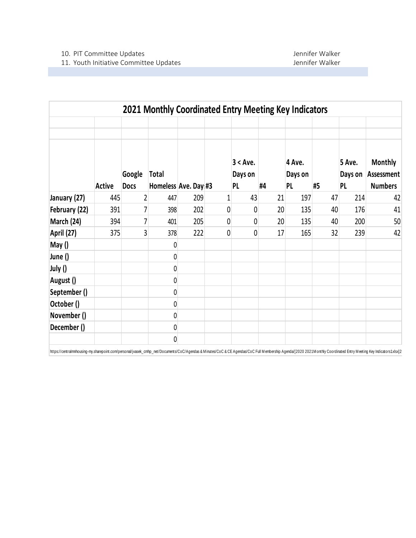|               |               |             | 2021 Monthly Coordinated Entry Meeting Key Indicators |     |             |                        |                 |                   |    |                   |                              |
|---------------|---------------|-------------|-------------------------------------------------------|-----|-------------|------------------------|-----------------|-------------------|----|-------------------|------------------------------|
|               |               |             |                                                       |     |             |                        |                 |                   |    |                   |                              |
|               |               | Google      | <b>Total</b>                                          |     |             | $3 < A$ ve.<br>Days on |                 | 4 Ave.<br>Days on |    | 5 Ave.<br>Days on | <b>Monthly</b><br>Assessment |
|               | <b>Active</b> | <b>Docs</b> | Homeless Ave. Day #3                                  |     |             | <b>PL</b>              | #4              | PL                | #5 | PL                | <b>Numbers</b>               |
| January (27)  | 445           | 2           | 447                                                   | 209 | $\mathbf 1$ | 43                     | 21              | 197               | 47 | 214               | 42                           |
| February (22) | 391           | 7           | 398                                                   | 202 | 0           | 0                      | 20 <sup>1</sup> | 135               | 40 | 176               | 41                           |
| March (24)    | 394           | 7           | 401                                                   | 205 | 0           | 0                      | 20 <sup>°</sup> | 135               | 40 | 200               | 50                           |
| April (27)    | 375           | 3           | 378                                                   | 222 | 0           | 0                      | 17              | 165               | 32 | 239               | 42                           |
| May()         |               |             | 0                                                     |     |             |                        |                 |                   |    |                   |                              |
| June ()       |               |             | 0                                                     |     |             |                        |                 |                   |    |                   |                              |
| July ()       |               |             | 0                                                     |     |             |                        |                 |                   |    |                   |                              |
| August ()     |               |             | 0                                                     |     |             |                        |                 |                   |    |                   |                              |
| September ()  |               |             | 0                                                     |     |             |                        |                 |                   |    |                   |                              |
| October ()    |               |             | 0                                                     |     |             |                        |                 |                   |    |                   |                              |
| November ()   |               |             | 0                                                     |     |             |                        |                 |                   |    |                   |                              |
| December ()   |               |             | 0                                                     |     |             |                        |                 |                   |    |                   |                              |
|               |               |             | 0                                                     |     |             |                        |                 |                   |    |                   |                              |

https://centralmnhousing-my.sharepoint.com/personal/jvasek\_cmhp\_net/Documents/CoC/Agendas & Minutes/CoC & CE Agendas/CoC Full Membership Agenda/[2020 2021Monthly Coordinated Entry Meeting Key Indicators1.xlsx]2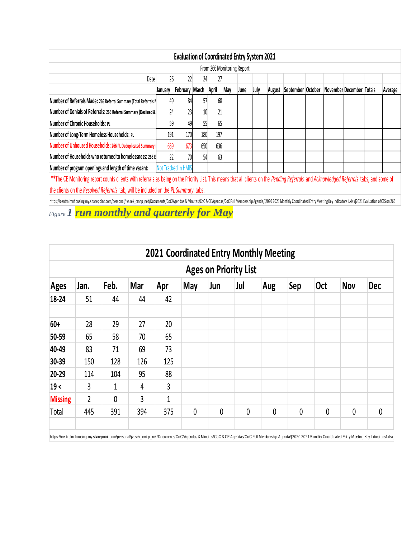| <b>Evaluation of Coordinated Entry System 2021</b>                           |                                                                                                                                                                                                                                                                        |                             |                                                                                                                                                    |                                   |                                    |      |        |  |  |                   |  |  |                                                                                                                                                                                                                        |  |
|------------------------------------------------------------------------------|------------------------------------------------------------------------------------------------------------------------------------------------------------------------------------------------------------------------------------------------------------------------|-----------------------------|----------------------------------------------------------------------------------------------------------------------------------------------------|-----------------------------------|------------------------------------|------|--------|--|--|-------------------|--|--|------------------------------------------------------------------------------------------------------------------------------------------------------------------------------------------------------------------------|--|
| From 266 Monitoring Report                                                   |                                                                                                                                                                                                                                                                        |                             |                                                                                                                                                    |                                   |                                    |      |        |  |  |                   |  |  |                                                                                                                                                                                                                        |  |
| Date<br>26<br>22<br>27<br>24                                                 |                                                                                                                                                                                                                                                                        |                             |                                                                                                                                                    |                                   |                                    |      |        |  |  |                   |  |  |                                                                                                                                                                                                                        |  |
| January                                                                      |                                                                                                                                                                                                                                                                        |                             |                                                                                                                                                    | May                               | June                               | July | August |  |  |                   |  |  | Average                                                                                                                                                                                                                |  |
|                                                                              |                                                                                                                                                                                                                                                                        |                             |                                                                                                                                                    |                                   |                                    |      |        |  |  |                   |  |  |                                                                                                                                                                                                                        |  |
|                                                                              |                                                                                                                                                                                                                                                                        |                             |                                                                                                                                                    |                                   |                                    |      |        |  |  |                   |  |  |                                                                                                                                                                                                                        |  |
|                                                                              |                                                                                                                                                                                                                                                                        |                             |                                                                                                                                                    |                                   |                                    |      |        |  |  |                   |  |  |                                                                                                                                                                                                                        |  |
|                                                                              |                                                                                                                                                                                                                                                                        |                             |                                                                                                                                                    |                                   |                                    |      |        |  |  |                   |  |  |                                                                                                                                                                                                                        |  |
|                                                                              | 673                                                                                                                                                                                                                                                                    |                             |                                                                                                                                                    |                                   |                                    |      |        |  |  |                   |  |  |                                                                                                                                                                                                                        |  |
|                                                                              |                                                                                                                                                                                                                                                                        |                             |                                                                                                                                                    |                                   |                                    |      |        |  |  |                   |  |  |                                                                                                                                                                                                                        |  |
| Number of program openings and length of time vacant:<br>Not Tracked in HMIS |                                                                                                                                                                                                                                                                        |                             |                                                                                                                                                    |                                   |                                    |      |        |  |  |                   |  |  |                                                                                                                                                                                                                        |  |
|                                                                              |                                                                                                                                                                                                                                                                        |                             |                                                                                                                                                    |                                   |                                    |      |        |  |  |                   |  |  |                                                                                                                                                                                                                        |  |
|                                                                              |                                                                                                                                                                                                                                                                        |                             |                                                                                                                                                    |                                   |                                    |      |        |  |  |                   |  |  |                                                                                                                                                                                                                        |  |
|                                                                              | Number of Referrals Made: 266 Referral Summary (Total Referrals I<br>Number of Denials of Referrals: 266 Referral Summary (Declined &<br>Number of Unhoused Households: 266 PL Deduplicated Summary<br>659<br>Number of Households who returned to homelessness: 266 E | 49<br>24<br>59<br>191<br>22 | February March<br>84<br>23<br>49<br>170<br>180<br>650<br>70<br>the clients on the Resolved Referrals tab, will be included on the PL Summary tabs. | April<br>57<br>$10\,$<br>55<br>54 | 68<br>21<br>65<br>197<br>636<br>63 |      |        |  |  | September October |  |  | November December Totals<br>** The CE Monitoring report counts clients with referrals as being on the Priority List. This means that all clients on the Pending Referrals and Acknowledged Referrals tabs, and some of |  |

https://centralmnhousing-my.sharepoint.com/personal/jvasek\_cmhp\_net/Documents/CoC/Agendas & Minutes/CoC & CEAgendas/CoCFull Membership Agenda/2020 2021 Monthly Coordinated Entry Meeting Key Indicators1.xlsx]2021 Evaluation

*Figure 1 run monthly and quarterly for May*

| <b>2021 Coordinated Entry Monthly Meeting</b>                                              |             |     |                |              |              |   |             |   |             |             |            |  |  |  |
|--------------------------------------------------------------------------------------------|-------------|-----|----------------|--------------|--------------|---|-------------|---|-------------|-------------|------------|--|--|--|
| <b>Ages on Priority List</b>                                                               |             |     |                |              |              |   |             |   |             |             |            |  |  |  |
| Feb.<br>Sep<br>Mar<br><b>May</b><br>Jul<br><b>Oct</b><br>Jan.<br>Ages<br>Apr<br>Jun<br>Aug |             |     |                |              |              |   |             |   |             |             | <b>Dec</b> |  |  |  |
| 51                                                                                         | 44          | 44  | 42             |              |              |   |             |   |             |             |            |  |  |  |
| 28                                                                                         | 29          | 27  | 20             |              |              |   |             |   |             |             |            |  |  |  |
| 65                                                                                         | 58          | 70  | 65             |              |              |   |             |   |             |             |            |  |  |  |
| 83                                                                                         | 71          | 69  | 73             |              |              |   |             |   |             |             |            |  |  |  |
| 150                                                                                        | 128         | 126 | 125            |              |              |   |             |   |             |             |            |  |  |  |
| 114                                                                                        | 104         | 95  | 88             |              |              |   |             |   |             |             |            |  |  |  |
| 3                                                                                          | 1           | 4   | $\overline{3}$ |              |              |   |             |   |             |             |            |  |  |  |
| $\overline{2}$                                                                             | $\mathbf 0$ | 3   | $\mathbf 1$    |              |              |   |             |   |             |             |            |  |  |  |
| 445                                                                                        | 391         | 394 | 375            | $\mathbf{0}$ | $\mathbf{0}$ | 0 | $\mathbf 0$ | 0 | $\mathbf 0$ | $\mathbf 0$ | $\pmb{0}$  |  |  |  |
| <b>Missing</b>                                                                             |             |     |                |              |              |   |             |   |             |             | <b>Nov</b> |  |  |  |

https://centralmnhousing-my.sharepoint.com/personal/jvasek\_cmhp\_net/Documents/CoC/Agendas & Minutes/CoC & CE Agendas/CoC Full Membership Agenda/[2020 2021 Monthly Coordinated Entry Meeting Key Indicators1.xlsx]